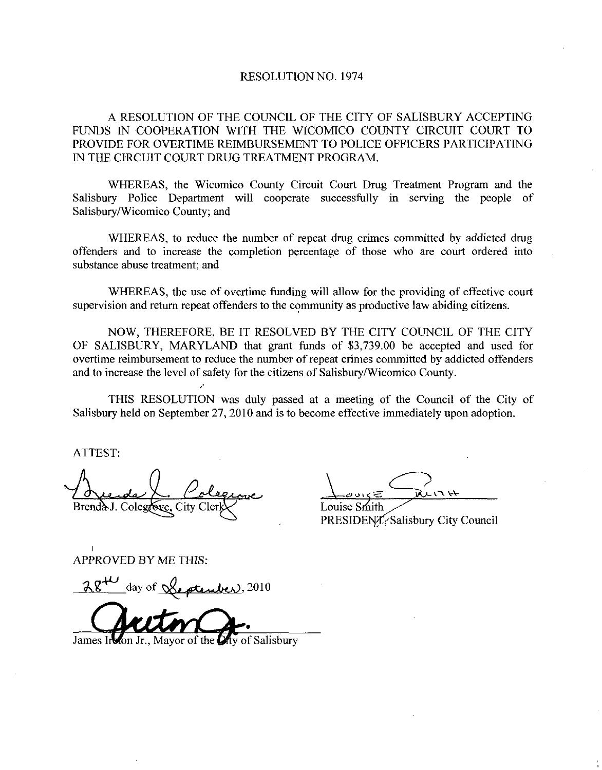## RESOLUTION NO. 1974

A RESOLUTION OF THE COUNCIL OF THE CITY OF SALISBURY ACCEPTING FUNDS IN COOPERATION WITH THE WICOMICO COUNTY CIRCUIT COURT TO PROVIDE FOR OVERTIME REIMBURSEMENT TO POLICE OFFICERS PARTICIPATING IN THE CIRCUIT COURT DRUG TREATMENT PROGRAM

WHEREAS, the Wicomico County Circuit Court Drug Treatment Program and the Salisbury Police Department will cooperate successfully in serving the people of Salisbury/Wicomico County; and

WHEREAS, to reduce the number of repeat drug crimes committed by addicted drug offenders and to increase the completion percentage of those who are court ordered into substance abuse treatment: and

WHEREAS, the use of overtime funding will allow for the providing of effective court supervision and return repeat offenders to the community as productive law abiding citizens.

NOW, THEREFORE, BE IT RESOLVED BY THE CITY COUNCIL OF THE CITY OF SALISBURY, MARYLAND that grant funds of \$3,739.00 be accepted and used for overtime reimbursement to reduce the number of repeat crimes committed by addicted offenders and to increase the level of safety for the citizens of Salisbury/Wicomico County.

THIS RESOLUTION was duly passed at a meeting of the Council of the City of Salisbury held on September 27, 2010 and is to become effective immediately upon adoption.

ATTEST

ATTEST:<br>Aude L. Colegeure Louis ?

PRESIDENT, Salisbury City Council

APPROVED BY ME THIS

PPROVED BY ME THIS:<br>28<sup>40</sup>\_day of <u>Leptenber</u>, 2010

28<sup>+1</sup> day of <u>Leptember</u>

ty of Salisbury